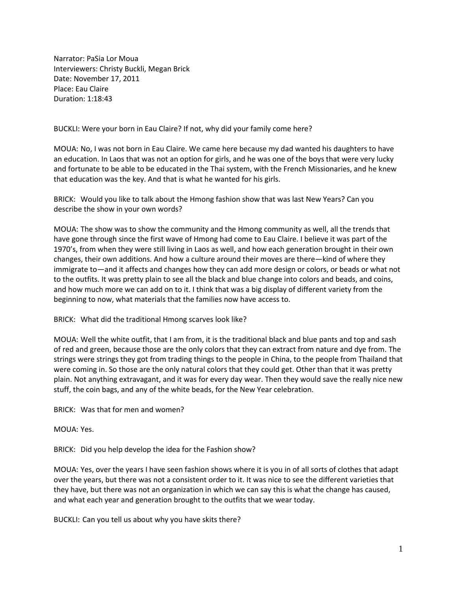Narrator: PaSia Lor Moua Interviewers: Christy Buckli, Megan Brick Date: November 17, 2011 Place: Eau Claire Duration: 1:18:43

BUCKLI: Were your born in Eau Claire? If not, why did your family come here?

MOUA: No, I was not born in Eau Claire. We came here because my dad wanted his daughters to have an education. In Laos that was not an option for girls, and he was one of the boys that were very lucky and fortunate to be able to be educated in the Thai system, with the French Missionaries, and he knew that education was the key. And that is what he wanted for his girls.

BRICK: Would you like to talk about the Hmong fashion show that was last New Years? Can you describe the show in your own words?

MOUA: The show was to show the community and the Hmong community as well, all the trends that have gone through since the first wave of Hmong had come to Eau Claire. I believe it was part of the 1970's, from when they were still living in Laos as well, and how each generation brought in their own changes, their own additions. And how a culture around their moves are there—kind of where they immigrate to—and it affects and changes how they can add more design or colors, or beads or what not to the outfits. It was pretty plain to see all the black and blue change into colors and beads, and coins, and how much more we can add on to it. I think that was a big display of different variety from the beginning to now, what materials that the families now have access to.

BRICK: What did the traditional Hmong scarves look like?

MOUA: Well the white outfit, that I am from, it is the traditional black and blue pants and top and sash of red and green, because those are the only colors that they can extract from nature and dye from. The strings were strings they got from trading things to the people in China, to the people from Thailand that were coming in. So those are the only natural colors that they could get. Other than that it was pretty plain. Not anything extravagant, and it was for every day wear. Then they would save the really nice new stuff, the coin bags, and any of the white beads, for the New Year celebration.

BRICK: Was that for men and women?

MOUA: Yes.

BRICK: Did you help develop the idea for the Fashion show?

MOUA: Yes, over the years I have seen fashion shows where it is you in of all sorts of clothes that adapt over the years, but there was not a consistent order to it. It was nice to see the different varieties that they have, but there was not an organization in which we can say this is what the change has caused, and what each year and generation brought to the outfits that we wear today.

BUCKLI: Can you tell us about why you have skits there?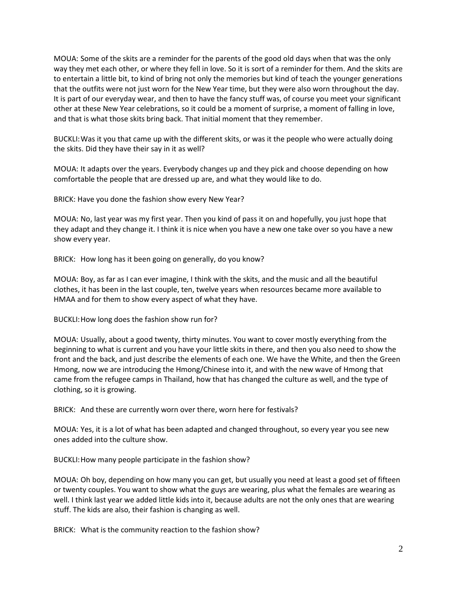MOUA: Some of the skits are a reminder for the parents of the good old days when that was the only way they met each other, or where they fell in love. So it is sort of a reminder for them. And the skits are to entertain a little bit, to kind of bring not only the memories but kind of teach the younger generations that the outfits were not just worn for the New Year time, but they were also worn throughout the day. It is part of our everyday wear, and then to have the fancy stuff was, of course you meet your significant other at these New Year celebrations, so it could be a moment of surprise, a moment of falling in love, and that is what those skits bring back. That initial moment that they remember.

BUCKLI:Was it you that came up with the different skits, or was it the people who were actually doing the skits. Did they have their say in it as well?

MOUA: It adapts over the years. Everybody changes up and they pick and choose depending on how comfortable the people that are dressed up are, and what they would like to do.

BRICK: Have you done the fashion show every New Year?

MOUA: No, last year was my first year. Then you kind of pass it on and hopefully, you just hope that they adapt and they change it. I think it is nice when you have a new one take over so you have a new show every year.

BRICK: How long has it been going on generally, do you know?

MOUA: Boy, as far as I can ever imagine, I think with the skits, and the music and all the beautiful clothes, it has been in the last couple, ten, twelve years when resources became more available to HMAA and for them to show every aspect of what they have.

BUCKLI:How long does the fashion show run for?

MOUA: Usually, about a good twenty, thirty minutes. You want to cover mostly everything from the beginning to what is current and you have your little skits in there, and then you also need to show the front and the back, and just describe the elements of each one. We have the White, and then the Green Hmong, now we are introducing the Hmong/Chinese into it, and with the new wave of Hmong that came from the refugee camps in Thailand, how that has changed the culture as well, and the type of clothing, so it is growing.

BRICK: And these are currently worn over there, worn here for festivals?

MOUA: Yes, it is a lot of what has been adapted and changed throughout, so every year you see new ones added into the culture show.

BUCKLI:How many people participate in the fashion show?

MOUA: Oh boy, depending on how many you can get, but usually you need at least a good set of fifteen or twenty couples. You want to show what the guys are wearing, plus what the females are wearing as well. I think last year we added little kids into it, because adults are not the only ones that are wearing stuff. The kids are also, their fashion is changing as well.

BRICK: What is the community reaction to the fashion show?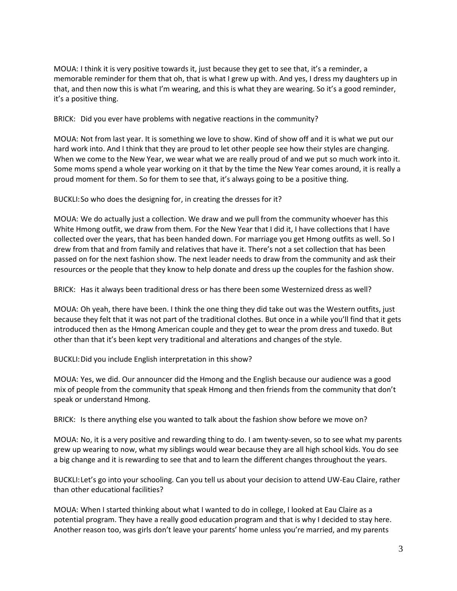MOUA: I think it is very positive towards it, just because they get to see that, it's a reminder, a memorable reminder for them that oh, that is what I grew up with. And yes, I dress my daughters up in that, and then now this is what I'm wearing, and this is what they are wearing. So it's a good reminder, it's a positive thing.

BRICK: Did you ever have problems with negative reactions in the community?

MOUA: Not from last year. It is something we love to show. Kind of show off and it is what we put our hard work into. And I think that they are proud to let other people see how their styles are changing. When we come to the New Year, we wear what we are really proud of and we put so much work into it. Some moms spend a whole year working on it that by the time the New Year comes around, it is really a proud moment for them. So for them to see that, it's always going to be a positive thing.

BUCKLI:So who does the designing for, in creating the dresses for it?

MOUA: We do actually just a collection. We draw and we pull from the community whoever has this White Hmong outfit, we draw from them. For the New Year that I did it, I have collections that I have collected over the years, that has been handed down. For marriage you get Hmong outfits as well. So I drew from that and from family and relatives that have it. There's not a set collection that has been passed on for the next fashion show. The next leader needs to draw from the community and ask their resources or the people that they know to help donate and dress up the couples for the fashion show.

BRICK: Has it always been traditional dress or has there been some Westernized dress as well?

MOUA: Oh yeah, there have been. I think the one thing they did take out was the Western outfits, just because they felt that it was not part of the traditional clothes. But once in a while you'll find that it gets introduced then as the Hmong American couple and they get to wear the prom dress and tuxedo. But other than that it's been kept very traditional and alterations and changes of the style.

BUCKLI:Did you include English interpretation in this show?

MOUA: Yes, we did. Our announcer did the Hmong and the English because our audience was a good mix of people from the community that speak Hmong and then friends from the community that don't speak or understand Hmong.

BRICK: Is there anything else you wanted to talk about the fashion show before we move on?

MOUA: No, it is a very positive and rewarding thing to do. I am twenty-seven, so to see what my parents grew up wearing to now, what my siblings would wear because they are all high school kids. You do see a big change and it is rewarding to see that and to learn the different changes throughout the years.

BUCKLI:Let's go into your schooling. Can you tell us about your decision to attend UW-Eau Claire, rather than other educational facilities?

MOUA: When I started thinking about what I wanted to do in college, I looked at Eau Claire as a potential program. They have a really good education program and that is why I decided to stay here. Another reason too, was girls don't leave your parents' home unless you're married, and my parents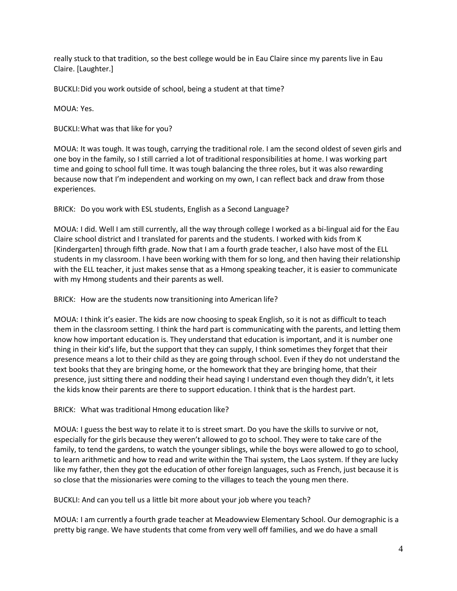really stuck to that tradition, so the best college would be in Eau Claire since my parents live in Eau Claire. [Laughter.]

BUCKLI:Did you work outside of school, being a student at that time?

MOUA: Yes.

BUCKLI:What was that like for you?

MOUA: It was tough. It was tough, carrying the traditional role. I am the second oldest of seven girls and one boy in the family, so I still carried a lot of traditional responsibilities at home. I was working part time and going to school full time. It was tough balancing the three roles, but it was also rewarding because now that I'm independent and working on my own, I can reflect back and draw from those experiences.

BRICK: Do you work with ESL students, English as a Second Language?

MOUA: I did. Well I am still currently, all the way through college I worked as a bi-lingual aid for the Eau Claire school district and I translated for parents and the students. I worked with kids from K [Kindergarten] through fifth grade. Now that I am a fourth grade teacher, I also have most of the ELL students in my classroom. I have been working with them for so long, and then having their relationship with the ELL teacher, it just makes sense that as a Hmong speaking teacher, it is easier to communicate with my Hmong students and their parents as well.

BRICK: How are the students now transitioning into American life?

MOUA: I think it's easier. The kids are now choosing to speak English, so it is not as difficult to teach them in the classroom setting. I think the hard part is communicating with the parents, and letting them know how important education is. They understand that education is important, and it is number one thing in their kid's life, but the support that they can supply, I think sometimes they forget that their presence means a lot to their child as they are going through school. Even if they do not understand the text books that they are bringing home, or the homework that they are bringing home, that their presence, just sitting there and nodding their head saying I understand even though they didn't, it lets the kids know their parents are there to support education. I think that is the hardest part.

BRICK: What was traditional Hmong education like?

MOUA: I guess the best way to relate it to is street smart. Do you have the skills to survive or not, especially for the girls because they weren't allowed to go to school. They were to take care of the family, to tend the gardens, to watch the younger siblings, while the boys were allowed to go to school, to learn arithmetic and how to read and write within the Thai system, the Laos system. If they are lucky like my father, then they got the education of other foreign languages, such as French, just because it is so close that the missionaries were coming to the villages to teach the young men there.

BUCKLI: And can you tell us a little bit more about your job where you teach?

MOUA: I am currently a fourth grade teacher at Meadowview Elementary School. Our demographic is a pretty big range. We have students that come from very well off families, and we do have a small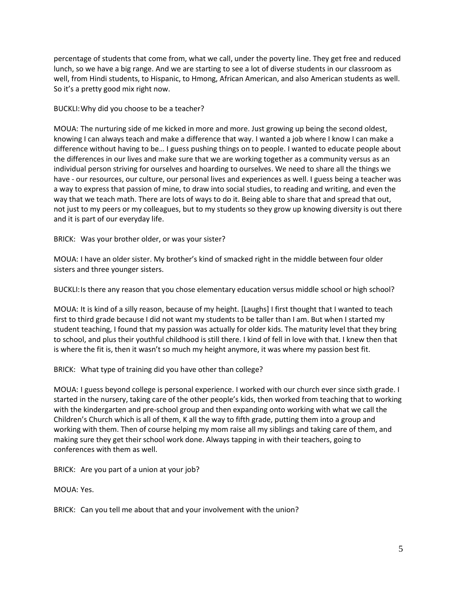percentage of students that come from, what we call, under the poverty line. They get free and reduced lunch, so we have a big range. And we are starting to see a lot of diverse students in our classroom as well, from Hindi students, to Hispanic, to Hmong, African American, and also American students as well. So it's a pretty good mix right now.

BUCKLI:Why did you choose to be a teacher?

MOUA: The nurturing side of me kicked in more and more. Just growing up being the second oldest, knowing I can always teach and make a difference that way. I wanted a job where I know I can make a difference without having to be… I guess pushing things on to people. I wanted to educate people about the differences in our lives and make sure that we are working together as a community versus as an individual person striving for ourselves and hoarding to ourselves. We need to share all the things we have - our resources, our culture, our personal lives and experiences as well. I guess being a teacher was a way to express that passion of mine, to draw into social studies, to reading and writing, and even the way that we teach math. There are lots of ways to do it. Being able to share that and spread that out, not just to my peers or my colleagues, but to my students so they grow up knowing diversity is out there and it is part of our everyday life.

BRICK: Was your brother older, or was your sister?

MOUA: I have an older sister. My brother's kind of smacked right in the middle between four older sisters and three younger sisters.

BUCKLI:Is there any reason that you chose elementary education versus middle school or high school?

MOUA: It is kind of a silly reason, because of my height. [Laughs] I first thought that I wanted to teach first to third grade because I did not want my students to be taller than I am. But when I started my student teaching, I found that my passion was actually for older kids. The maturity level that they bring to school, and plus their youthful childhood is still there. I kind of fell in love with that. I knew then that is where the fit is, then it wasn't so much my height anymore, it was where my passion best fit.

BRICK: What type of training did you have other than college?

MOUA: I guess beyond college is personal experience. I worked with our church ever since sixth grade. I started in the nursery, taking care of the other people's kids, then worked from teaching that to working with the kindergarten and pre-school group and then expanding onto working with what we call the Children's Church which is all of them, K all the way to fifth grade, putting them into a group and working with them. Then of course helping my mom raise all my siblings and taking care of them, and making sure they get their school work done. Always tapping in with their teachers, going to conferences with them as well.

BRICK: Are you part of a union at your job?

MOUA: Yes.

BRICK: Can you tell me about that and your involvement with the union?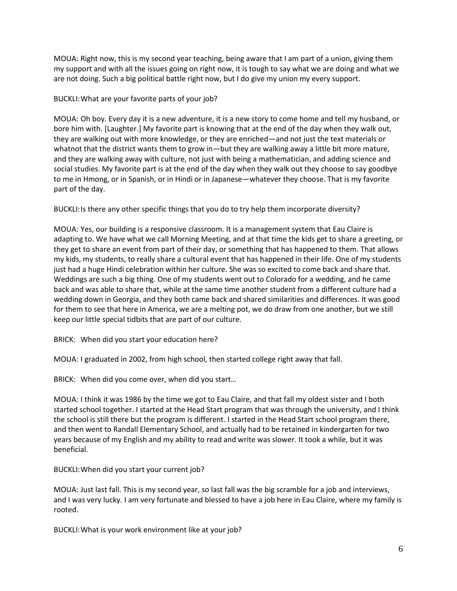MOUA: Right now, this is my second year teaching, being aware that I am part of a union, giving them my support and with all the issues going on right now, it is tough to say what we are doing and what we are not doing. Such a big political battle right now, but I do give my union my every support.

BUCKLI:What are your favorite parts of your job?

MOUA: Oh boy. Every day it is a new adventure, it is a new story to come home and tell my husband, or bore him with. [Laughter.] My favorite part is knowing that at the end of the day when they walk out, they are walking out with more knowledge, or they are enriched—and not just the text materials or whatnot that the district wants them to grow in—but they are walking away a little bit more mature, and they are walking away with culture, not just with being a mathematician, and adding science and social studies. My favorite part is at the end of the day when they walk out they choose to say goodbye to me in Hmong, or in Spanish, or in Hindi or in Japanese—whatever they choose. That is my favorite part of the day.

BUCKLI: Is there any other specific things that you do to try help them incorporate diversity?

MOUA: Yes, our building is a responsive classroom. It is a management system that Eau Claire is adapting to. We have what we call Morning Meeting, and at that time the kids get to share a greeting, or they get to share an event from part of their day, or something that has happened to them. That allows my kids, my students, to really share a cultural event that has happened in their life. One of my students just had a huge Hindi celebration within her culture. She was so excited to come back and share that. Weddings are such a big thing. One of my students went out to Colorado for a wedding, and he came back and was able to share that, while at the same time another student from a different culture had a wedding down in Georgia, and they both came back and shared similarities and differences. It was good for them to see that here in America, we are a melting pot, we do draw from one another, but we still keep our little special tidbits that are part of our culture.

BRICK: When did you start your education here?

MOUA: I graduated in 2002, from high school, then started college right away that fall.

BRICK: When did you come over, when did you start…

MOUA: I think it was 1986 by the time we got to Eau Claire, and that fall my oldest sister and I both started school together. I started at the Head Start program that was through the university, and I think the school is still there but the program is different. I started in the Head Start school program there, and then went to Randall Elementary School, and actually had to be retained in kindergarten for two years because of my English and my ability to read and write was slower. It took a while, but it was beneficial.

BUCKLI:When did you start your current job?

MOUA: Just last fall. This is my second year, so last fall was the big scramble for a job and interviews, and I was very lucky. I am very fortunate and blessed to have a job here in Eau Claire, where my family is rooted.

BUCKLI:What is your work environment like at your job?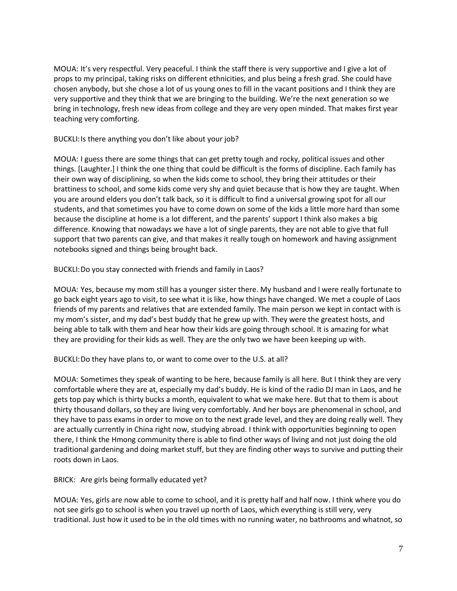MOUA: It's very respectful. Very peaceful. I think the staff there is very supportive and I give a lot of props to my principal, taking risks on different ethnicities, and plus being a fresh grad. She could have chosen anybody, but she chose a lot of us young ones to fill in the vacant positions and I think they are very supportive and they think that we are bringing to the building. We're the next generation so we bring in technology, fresh new ideas from college and they are very open minded. That makes first year teaching very comforting.

BUCKLI:Is there anything you don't like about your job?

MOUA: I guess there are some things that can get pretty tough and rocky, political issues and other things. [Laughter.] I think the one thing that could be difficult is the forms of discipline. Each family has their own way of disciplining, so when the kids come to school, they bring their attitudes or their brattiness to school, and some kids come very shy and quiet because that is how they are taught. When you are around elders you don't talk back, so it is difficult to find a universal growing spot for all our students, and that sometimes you have to come down on some of the kids a little more hard than some because the discipline at home is a lot different, and the parents' support I think also makes a big difference. Knowing that nowadays we have a lot of single parents, they are not able to give that full support that two parents can give, and that makes it really tough on homework and having assignment notebooks signed and things being brought back.

BUCKLI:Do you stay connected with friends and family in Laos?

MOUA: Yes, because my mom still has a younger sister there. My husband and I were really fortunate to go back eight years ago to visit, to see what it is like, how things have changed. We met a couple of Laos friends of my parents and relatives that are extended family. The main person we kept in contact with is my mom's sister, and my dad's best buddy that he grew up with. They were the greatest hosts, and being able to talk with them and hear how their kids are going through school. It is amazing for what they are providing for their kids as well. They are the only two we have been keeping up with.

BUCKLI:Do they have plans to, or want to come over to the U.S. at all?

MOUA: Sometimes they speak of wanting to be here, because family is all here. But I think they are very comfortable where they are at, especially my dad's buddy. He is kind of the radio DJ man in Laos, and he gets top pay which is thirty bucks a month, equivalent to what we make here. But that to them is about thirty thousand dollars, so they are living very comfortably. And her boys are phenomenal in school, and they have to pass exams in order to move on to the next grade level, and they are doing really well. They are actually currently in China right now, studying abroad. I think with opportunities beginning to open there, I think the Hmong community there is able to find other ways of living and not just doing the old traditional gardening and doing market stuff, but they are finding other ways to survive and putting their roots down in Laos.

BRICK: Are girls being formally educated yet?

MOUA: Yes, girls are now able to come to school, and it is pretty half and half now. I think where you do not see girls go to school is when you travel up north of Laos, which everything is still very, very traditional. Just how it used to be in the old times with no running water, no bathrooms and whatnot, so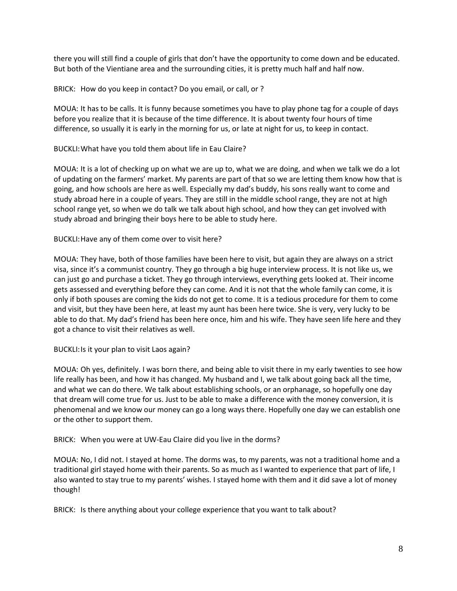there you will still find a couple of girls that don't have the opportunity to come down and be educated. But both of the Vientiane area and the surrounding cities, it is pretty much half and half now.

BRICK: How do you keep in contact? Do you email, or call, or ?

MOUA: It has to be calls. It is funny because sometimes you have to play phone tag for a couple of days before you realize that it is because of the time difference. It is about twenty four hours of time difference, so usually it is early in the morning for us, or late at night for us, to keep in contact.

BUCKLI:What have you told them about life in Eau Claire?

MOUA: It is a lot of checking up on what we are up to, what we are doing, and when we talk we do a lot of updating on the farmers' market. My parents are part of that so we are letting them know how that is going, and how schools are here as well. Especially my dad's buddy, his sons really want to come and study abroad here in a couple of years. They are still in the middle school range, they are not at high school range yet, so when we do talk we talk about high school, and how they can get involved with study abroad and bringing their boys here to be able to study here.

BUCKLI:Have any of them come over to visit here?

MOUA: They have, both of those families have been here to visit, but again they are always on a strict visa, since it's a communist country. They go through a big huge interview process. It is not like us, we can just go and purchase a ticket. They go through interviews, everything gets looked at. Their income gets assessed and everything before they can come. And it is not that the whole family can come, it is only if both spouses are coming the kids do not get to come. It is a tedious procedure for them to come and visit, but they have been here, at least my aunt has been here twice. She is very, very lucky to be able to do that. My dad's friend has been here once, him and his wife. They have seen life here and they got a chance to visit their relatives as well.

BUCKLI:Is it your plan to visit Laos again?

MOUA: Oh yes, definitely. I was born there, and being able to visit there in my early twenties to see how life really has been, and how it has changed. My husband and I, we talk about going back all the time, and what we can do there. We talk about establishing schools, or an orphanage, so hopefully one day that dream will come true for us. Just to be able to make a difference with the money conversion, it is phenomenal and we know our money can go a long ways there. Hopefully one day we can establish one or the other to support them.

BRICK: When you were at UW-Eau Claire did you live in the dorms?

MOUA: No, I did not. I stayed at home. The dorms was, to my parents, was not a traditional home and a traditional girl stayed home with their parents. So as much as I wanted to experience that part of life, I also wanted to stay true to my parents' wishes. I stayed home with them and it did save a lot of money though!

BRICK: Is there anything about your college experience that you want to talk about?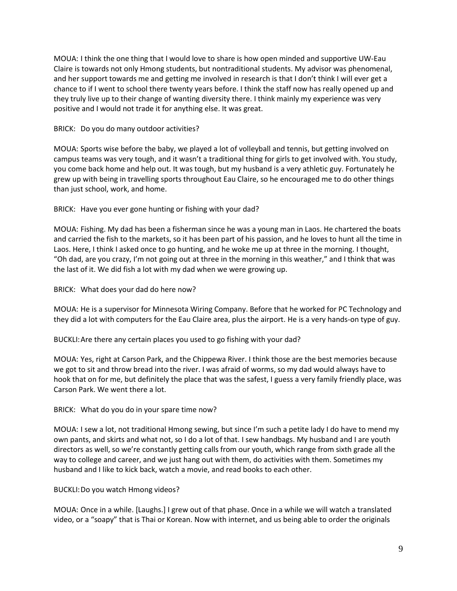MOUA: I think the one thing that I would love to share is how open minded and supportive UW-Eau Claire is towards not only Hmong students, but nontraditional students. My advisor was phenomenal, and her support towards me and getting me involved in research is that I don't think I will ever get a chance to if I went to school there twenty years before. I think the staff now has really opened up and they truly live up to their change of wanting diversity there. I think mainly my experience was very positive and I would not trade it for anything else. It was great.

BRICK: Do you do many outdoor activities?

MOUA: Sports wise before the baby, we played a lot of volleyball and tennis, but getting involved on campus teams was very tough, and it wasn't a traditional thing for girls to get involved with. You study, you come back home and help out. It was tough, but my husband is a very athletic guy. Fortunately he grew up with being in travelling sports throughout Eau Claire, so he encouraged me to do other things than just school, work, and home.

BRICK: Have you ever gone hunting or fishing with your dad?

MOUA: Fishing. My dad has been a fisherman since he was a young man in Laos. He chartered the boats and carried the fish to the markets, so it has been part of his passion, and he loves to hunt all the time in Laos. Here, I think I asked once to go hunting, and he woke me up at three in the morning. I thought, "Oh dad, are you crazy, I'm not going out at three in the morning in this weather," and I think that was the last of it. We did fish a lot with my dad when we were growing up.

BRICK: What does your dad do here now?

MOUA: He is a supervisor for Minnesota Wiring Company. Before that he worked for PC Technology and they did a lot with computers for the Eau Claire area, plus the airport. He is a very hands-on type of guy.

BUCKLI:Are there any certain places you used to go fishing with your dad?

MOUA: Yes, right at Carson Park, and the Chippewa River. I think those are the best memories because we got to sit and throw bread into the river. I was afraid of worms, so my dad would always have to hook that on for me, but definitely the place that was the safest, I guess a very family friendly place, was Carson Park. We went there a lot.

BRICK: What do you do in your spare time now?

MOUA: I sew a lot, not traditional Hmong sewing, but since I'm such a petite lady I do have to mend my own pants, and skirts and what not, so I do a lot of that. I sew handbags. My husband and I are youth directors as well, so we're constantly getting calls from our youth, which range from sixth grade all the way to college and career, and we just hang out with them, do activities with them. Sometimes my husband and I like to kick back, watch a movie, and read books to each other.

BUCKLI:Do you watch Hmong videos?

MOUA: Once in a while. [Laughs.] I grew out of that phase. Once in a while we will watch a translated video, or a "soapy" that is Thai or Korean. Now with internet, and us being able to order the originals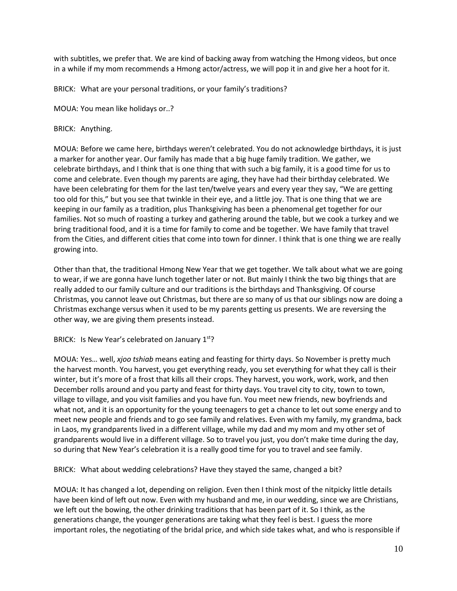with subtitles, we prefer that. We are kind of backing away from watching the Hmong videos, but once in a while if my mom recommends a Hmong actor/actress, we will pop it in and give her a hoot for it.

BRICK: What are your personal traditions, or your family's traditions?

MOUA: You mean like holidays or..?

BRICK: Anything.

MOUA: Before we came here, birthdays weren't celebrated. You do not acknowledge birthdays, it is just a marker for another year. Our family has made that a big huge family tradition. We gather, we celebrate birthdays, and I think that is one thing that with such a big family, it is a good time for us to come and celebrate. Even though my parents are aging, they have had their birthday celebrated. We have been celebrating for them for the last ten/twelve years and every year they say, "We are getting too old for this," but you see that twinkle in their eye, and a little joy. That is one thing that we are keeping in our family as a tradition, plus Thanksgiving has been a phenomenal get together for our families. Not so much of roasting a turkey and gathering around the table, but we cook a turkey and we bring traditional food, and it is a time for family to come and be together. We have family that travel from the Cities, and different cities that come into town for dinner. I think that is one thing we are really growing into.

Other than that, the traditional Hmong New Year that we get together. We talk about what we are going to wear, if we are gonna have lunch together later or not. But mainly I think the two big things that are really added to our family culture and our traditions is the birthdays and Thanksgiving. Of course Christmas, you cannot leave out Christmas, but there are so many of us that our siblings now are doing a Christmas exchange versus when it used to be my parents getting us presents. We are reversing the other way, we are giving them presents instead.

BRICK: Is New Year's celebrated on January 1<sup>st</sup>?

MOUA: Yes… well, *xjoo tshiab* means eating and feasting for thirty days. So November is pretty much the harvest month. You harvest, you get everything ready, you set everything for what they call is their winter, but it's more of a frost that kills all their crops. They harvest, you work, work, work, and then December rolls around and you party and feast for thirty days. You travel city to city, town to town, village to village, and you visit families and you have fun. You meet new friends, new boyfriends and what not, and it is an opportunity for the young teenagers to get a chance to let out some energy and to meet new people and friends and to go see family and relatives. Even with my family, my grandma, back in Laos, my grandparents lived in a different village, while my dad and my mom and my other set of grandparents would live in a different village. So to travel you just, you don't make time during the day, so during that New Year's celebration it is a really good time for you to travel and see family.

BRICK: What about wedding celebrations? Have they stayed the same, changed a bit?

MOUA: It has changed a lot, depending on religion. Even then I think most of the nitpicky little details have been kind of left out now. Even with my husband and me, in our wedding, since we are Christians, we left out the bowing, the other drinking traditions that has been part of it. So I think, as the generations change, the younger generations are taking what they feel is best. I guess the more important roles, the negotiating of the bridal price, and which side takes what, and who is responsible if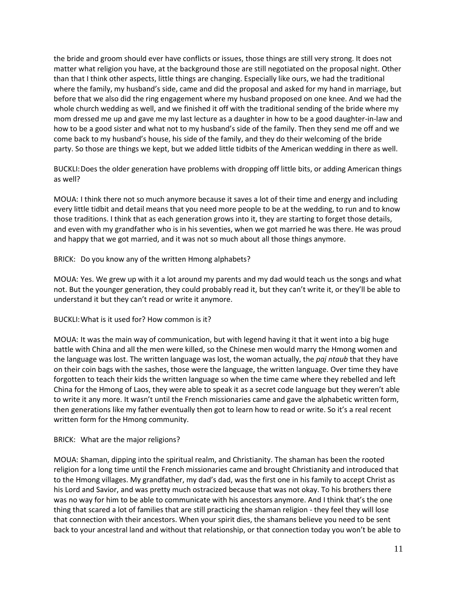the bride and groom should ever have conflicts or issues, those things are still very strong. It does not matter what religion you have, at the background those are still negotiated on the proposal night. Other than that I think other aspects, little things are changing. Especially like ours, we had the traditional where the family, my husband's side, came and did the proposal and asked for my hand in marriage, but before that we also did the ring engagement where my husband proposed on one knee. And we had the whole church wedding as well, and we finished it off with the traditional sending of the bride where my mom dressed me up and gave me my last lecture as a daughter in how to be a good daughter-in-law and how to be a good sister and what not to my husband's side of the family. Then they send me off and we come back to my husband's house, his side of the family, and they do their welcoming of the bride party. So those are things we kept, but we added little tidbits of the American wedding in there as well.

BUCKLI:Does the older generation have problems with dropping off little bits, or adding American things as well?

MOUA: I think there not so much anymore because it saves a lot of their time and energy and including every little tidbit and detail means that you need more people to be at the wedding, to run and to know those traditions. I think that as each generation grows into it, they are starting to forget those details, and even with my grandfather who is in his seventies, when we got married he was there. He was proud and happy that we got married, and it was not so much about all those things anymore.

BRICK: Do you know any of the written Hmong alphabets?

MOUA: Yes. We grew up with it a lot around my parents and my dad would teach us the songs and what not. But the younger generation, they could probably read it, but they can't write it, or they'll be able to understand it but they can't read or write it anymore.

## BUCKLI:What is it used for? How common is it?

MOUA: It was the main way of communication, but with legend having it that it went into a big huge battle with China and all the men were killed, so the Chinese men would marry the Hmong women and the language was lost. The written language was lost, the woman actually, the *paj ntaub* that they have on their coin bags with the sashes, those were the language, the written language. Over time they have forgotten to teach their kids the written language so when the time came where they rebelled and left China for the Hmong of Laos, they were able to speak it as a secret code language but they weren't able to write it any more. It wasn't until the French missionaries came and gave the alphabetic written form, then generations like my father eventually then got to learn how to read or write. So it's a real recent written form for the Hmong community.

## BRICK: What are the major religions?

MOUA: Shaman, dipping into the spiritual realm, and Christianity. The shaman has been the rooted religion for a long time until the French missionaries came and brought Christianity and introduced that to the Hmong villages. My grandfather, my dad's dad, was the first one in his family to accept Christ as his Lord and Savior, and was pretty much ostracized because that was not okay. To his brothers there was no way for him to be able to communicate with his ancestors anymore. And I think that's the one thing that scared a lot of families that are still practicing the shaman religion - they feel they will lose that connection with their ancestors. When your spirit dies, the shamans believe you need to be sent back to your ancestral land and without that relationship, or that connection today you won't be able to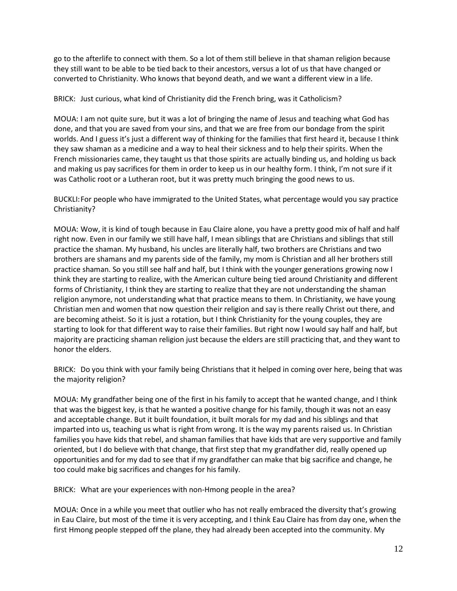go to the afterlife to connect with them. So a lot of them still believe in that shaman religion because they still want to be able to be tied back to their ancestors, versus a lot of us that have changed or converted to Christianity. Who knows that beyond death, and we want a different view in a life.

BRICK: Just curious, what kind of Christianity did the French bring, was it Catholicism?

MOUA: I am not quite sure, but it was a lot of bringing the name of Jesus and teaching what God has done, and that you are saved from your sins, and that we are free from our bondage from the spirit worlds. And I guess it's just a different way of thinking for the families that first heard it, because I think they saw shaman as a medicine and a way to heal their sickness and to help their spirits. When the French missionaries came, they taught us that those spirits are actually binding us, and holding us back and making us pay sacrifices for them in order to keep us in our healthy form. I think, I'm not sure if it was Catholic root or a Lutheran root, but it was pretty much bringing the good news to us.

BUCKLI:For people who have immigrated to the United States, what percentage would you say practice Christianity?

MOUA: Wow, it is kind of tough because in Eau Claire alone, you have a pretty good mix of half and half right now. Even in our family we still have half, I mean siblings that are Christians and siblings that still practice the shaman. My husband, his uncles are literally half, two brothers are Christians and two brothers are shamans and my parents side of the family, my mom is Christian and all her brothers still practice shaman. So you still see half and half, but I think with the younger generations growing now I think they are starting to realize, with the American culture being tied around Christianity and different forms of Christianity, I think they are starting to realize that they are not understanding the shaman religion anymore, not understanding what that practice means to them. In Christianity, we have young Christian men and women that now question their religion and say is there really Christ out there, and are becoming atheist. So it is just a rotation, but I think Christianity for the young couples, they are starting to look for that different way to raise their families. But right now I would say half and half, but majority are practicing shaman religion just because the elders are still practicing that, and they want to honor the elders.

BRICK: Do you think with your family being Christians that it helped in coming over here, being that was the majority religion?

MOUA: My grandfather being one of the first in his family to accept that he wanted change, and I think that was the biggest key, is that he wanted a positive change for his family, though it was not an easy and acceptable change. But it built foundation, it built morals for my dad and his siblings and that imparted into us, teaching us what is right from wrong. It is the way my parents raised us. In Christian families you have kids that rebel, and shaman families that have kids that are very supportive and family oriented, but I do believe with that change, that first step that my grandfather did, really opened up opportunities and for my dad to see that if my grandfather can make that big sacrifice and change, he too could make big sacrifices and changes for his family.

BRICK: What are your experiences with non-Hmong people in the area?

MOUA: Once in a while you meet that outlier who has not really embraced the diversity that's growing in Eau Claire, but most of the time it is very accepting, and I think Eau Claire has from day one, when the first Hmong people stepped off the plane, they had already been accepted into the community. My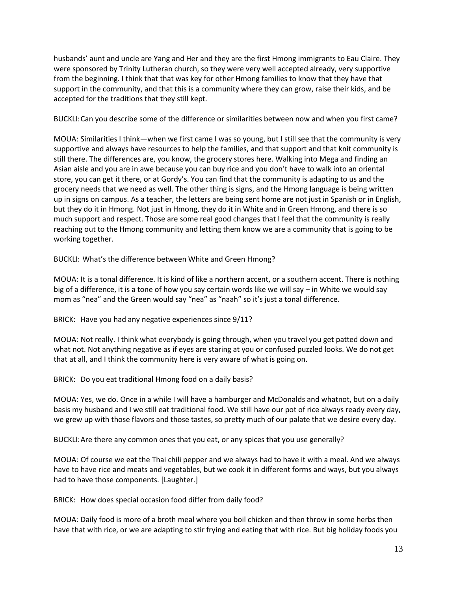husbands' aunt and uncle are Yang and Her and they are the first Hmong immigrants to Eau Claire. They were sponsored by Trinity Lutheran church, so they were very well accepted already, very supportive from the beginning. I think that that was key for other Hmong families to know that they have that support in the community, and that this is a community where they can grow, raise their kids, and be accepted for the traditions that they still kept.

BUCKLI:Can you describe some of the difference or similarities between now and when you first came?

MOUA: Similarities I think—when we first came I was so young, but I still see that the community is very supportive and always have resources to help the families, and that support and that knit community is still there. The differences are, you know, the grocery stores here. Walking into Mega and finding an Asian aisle and you are in awe because you can buy rice and you don't have to walk into an oriental store, you can get it there, or at Gordy's. You can find that the community is adapting to us and the grocery needs that we need as well. The other thing is signs, and the Hmong language is being written up in signs on campus. As a teacher, the letters are being sent home are not just in Spanish or in English, but they do it in Hmong. Not just in Hmong, they do it in White and in Green Hmong, and there is so much support and respect. Those are some real good changes that I feel that the community is really reaching out to the Hmong community and letting them know we are a community that is going to be working together.

BUCKLI: What's the difference between White and Green Hmong?

MOUA: It is a tonal difference. It is kind of like a northern accent, or a southern accent. There is nothing big of a difference, it is a tone of how you say certain words like we will say – in White we would say mom as "nea" and the Green would say "nea" as "naah" so it's just a tonal difference.

BRICK: Have you had any negative experiences since 9/11?

MOUA: Not really. I think what everybody is going through, when you travel you get patted down and what not. Not anything negative as if eyes are staring at you or confused puzzled looks. We do not get that at all, and I think the community here is very aware of what is going on.

BRICK: Do you eat traditional Hmong food on a daily basis?

MOUA: Yes, we do. Once in a while I will have a hamburger and McDonalds and whatnot, but on a daily basis my husband and I we still eat traditional food. We still have our pot of rice always ready every day, we grew up with those flavors and those tastes, so pretty much of our palate that we desire every day.

BUCKLI:Are there any common ones that you eat, or any spices that you use generally?

MOUA: Of course we eat the Thai chili pepper and we always had to have it with a meal. And we always have to have rice and meats and vegetables, but we cook it in different forms and ways, but you always had to have those components. [Laughter.]

BRICK: How does special occasion food differ from daily food?

MOUA: Daily food is more of a broth meal where you boil chicken and then throw in some herbs then have that with rice, or we are adapting to stir frying and eating that with rice. But big holiday foods you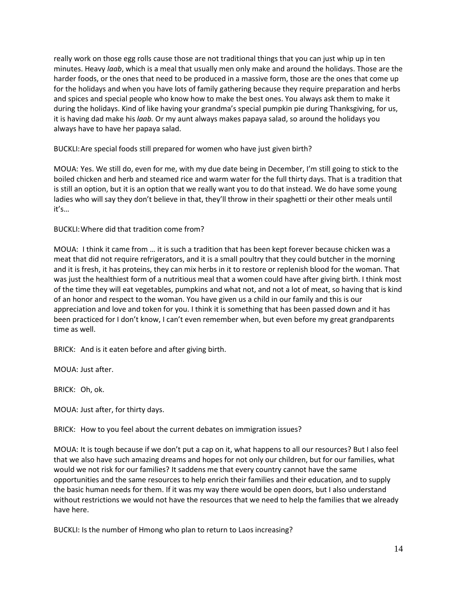really work on those egg rolls cause those are not traditional things that you can just whip up in ten minutes. Heavy *laab*, which is a meal that usually men only make and around the holidays. Those are the harder foods, or the ones that need to be produced in a massive form, those are the ones that come up for the holidays and when you have lots of family gathering because they require preparation and herbs and spices and special people who know how to make the best ones. You always ask them to make it during the holidays. Kind of like having your grandma's special pumpkin pie during Thanksgiving, for us, it is having dad make his *laab.* Or my aunt always makes papaya salad, so around the holidays you always have to have her papaya salad.

BUCKLI:Are special foods still prepared for women who have just given birth?

MOUA: Yes. We still do, even for me, with my due date being in December, I'm still going to stick to the boiled chicken and herb and steamed rice and warm water for the full thirty days. That is a tradition that is still an option, but it is an option that we really want you to do that instead. We do have some young ladies who will say they don't believe in that, they'll throw in their spaghetti or their other meals until it's…

BUCKLI:Where did that tradition come from?

MOUA: I think it came from … it is such a tradition that has been kept forever because chicken was a meat that did not require refrigerators, and it is a small poultry that they could butcher in the morning and it is fresh, it has proteins, they can mix herbs in it to restore or replenish blood for the woman. That was just the healthiest form of a nutritious meal that a women could have after giving birth. I think most of the time they will eat vegetables, pumpkins and what not, and not a lot of meat, so having that is kind of an honor and respect to the woman. You have given us a child in our family and this is our appreciation and love and token for you. I think it is something that has been passed down and it has been practiced for I don't know, I can't even remember when, but even before my great grandparents time as well.

BRICK: And is it eaten before and after giving birth.

MOUA: Just after.

BRICK: Oh, ok.

MOUA: Just after, for thirty days.

BRICK: How to you feel about the current debates on immigration issues?

MOUA: It is tough because if we don't put a cap on it, what happens to all our resources? But I also feel that we also have such amazing dreams and hopes for not only our children, but for our families, what would we not risk for our families? It saddens me that every country cannot have the same opportunities and the same resources to help enrich their families and their education, and to supply the basic human needs for them. If it was my way there would be open doors, but I also understand without restrictions we would not have the resources that we need to help the families that we already have here.

BUCKLI: Is the number of Hmong who plan to return to Laos increasing?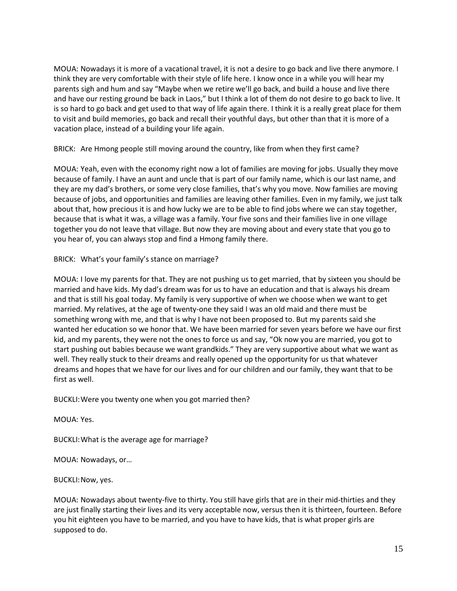MOUA: Nowadays it is more of a vacational travel, it is not a desire to go back and live there anymore. I think they are very comfortable with their style of life here. I know once in a while you will hear my parents sigh and hum and say "Maybe when we retire we'll go back, and build a house and live there and have our resting ground be back in Laos," but I think a lot of them do not desire to go back to live. It is so hard to go back and get used to that way of life again there. I think it is a really great place for them to visit and build memories, go back and recall their youthful days, but other than that it is more of a vacation place, instead of a building your life again.

BRICK: Are Hmong people still moving around the country, like from when they first came?

MOUA: Yeah, even with the economy right now a lot of families are moving for jobs. Usually they move because of family. I have an aunt and uncle that is part of our family name, which is our last name, and they are my dad's brothers, or some very close families, that's why you move. Now families are moving because of jobs, and opportunities and families are leaving other families. Even in my family, we just talk about that, how precious it is and how lucky we are to be able to find jobs where we can stay together, because that is what it was, a village was a family. Your five sons and their families live in one village together you do not leave that village. But now they are moving about and every state that you go to you hear of, you can always stop and find a Hmong family there.

BRICK: What's your family's stance on marriage?

MOUA: I love my parents for that. They are not pushing us to get married, that by sixteen you should be married and have kids. My dad's dream was for us to have an education and that is always his dream and that is still his goal today. My family is very supportive of when we choose when we want to get married. My relatives, at the age of twenty-one they said I was an old maid and there must be something wrong with me, and that is why I have not been proposed to. But my parents said she wanted her education so we honor that. We have been married for seven years before we have our first kid, and my parents, they were not the ones to force us and say, "Ok now you are married, you got to start pushing out babies because we want grandkids." They are very supportive about what we want as well. They really stuck to their dreams and really opened up the opportunity for us that whatever dreams and hopes that we have for our lives and for our children and our family, they want that to be first as well.

BUCKLI:Were you twenty one when you got married then?

MOUA: Yes.

BUCKLI:What is the average age for marriage?

MOUA: Nowadays, or…

BUCKLI:Now, yes.

MOUA: Nowadays about twenty-five to thirty. You still have girls that are in their mid-thirties and they are just finally starting their lives and its very acceptable now, versus then it is thirteen, fourteen. Before you hit eighteen you have to be married, and you have to have kids, that is what proper girls are supposed to do.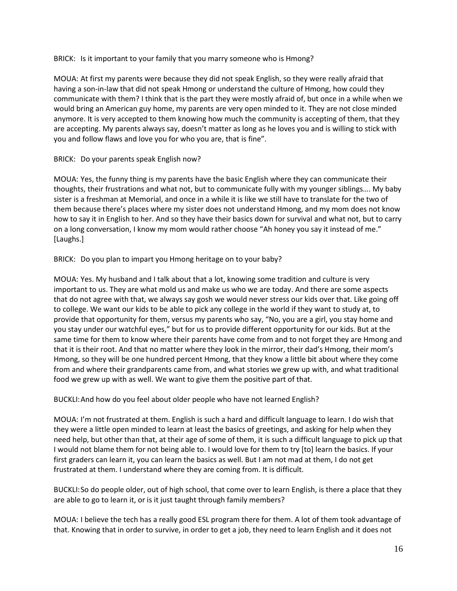BRICK: Is it important to your family that you marry someone who is Hmong?

MOUA: At first my parents were because they did not speak English, so they were really afraid that having a son-in-law that did not speak Hmong or understand the culture of Hmong, how could they communicate with them? I think that is the part they were mostly afraid of, but once in a while when we would bring an American guy home, my parents are very open minded to it. They are not close minded anymore. It is very accepted to them knowing how much the community is accepting of them, that they are accepting. My parents always say, doesn't matter as long as he loves you and is willing to stick with you and follow flaws and love you for who you are, that is fine".

## BRICK: Do your parents speak English now?

MOUA: Yes, the funny thing is my parents have the basic English where they can communicate their thoughts, their frustrations and what not, but to communicate fully with my younger siblings…. My baby sister is a freshman at Memorial, and once in a while it is like we still have to translate for the two of them because there's places where my sister does not understand Hmong, and my mom does not know how to say it in English to her. And so they have their basics down for survival and what not, but to carry on a long conversation, I know my mom would rather choose "Ah honey you say it instead of me." [Laughs.]

BRICK: Do you plan to impart you Hmong heritage on to your baby?

MOUA: Yes. My husband and I talk about that a lot, knowing some tradition and culture is very important to us. They are what mold us and make us who we are today. And there are some aspects that do not agree with that, we always say gosh we would never stress our kids over that. Like going off to college. We want our kids to be able to pick any college in the world if they want to study at, to provide that opportunity for them, versus my parents who say, "No, you are a girl, you stay home and you stay under our watchful eyes," but for us to provide different opportunity for our kids. But at the same time for them to know where their parents have come from and to not forget they are Hmong and that it is their root. And that no matter where they look in the mirror, their dad's Hmong, their mom's Hmong, so they will be one hundred percent Hmong, that they know a little bit about where they come from and where their grandparents came from, and what stories we grew up with, and what traditional food we grew up with as well. We want to give them the positive part of that.

BUCKLI:And how do you feel about older people who have not learned English?

MOUA: I'm not frustrated at them. English is such a hard and difficult language to learn. I do wish that they were a little open minded to learn at least the basics of greetings, and asking for help when they need help, but other than that, at their age of some of them, it is such a difficult language to pick up that I would not blame them for not being able to. I would love for them to try [to] learn the basics. If your first graders can learn it, you can learn the basics as well. But I am not mad at them, I do not get frustrated at them. I understand where they are coming from. It is difficult.

BUCKLI:So do people older, out of high school, that come over to learn English, is there a place that they are able to go to learn it, or is it just taught through family members?

MOUA: I believe the tech has a really good ESL program there for them. A lot of them took advantage of that. Knowing that in order to survive, in order to get a job, they need to learn English and it does not